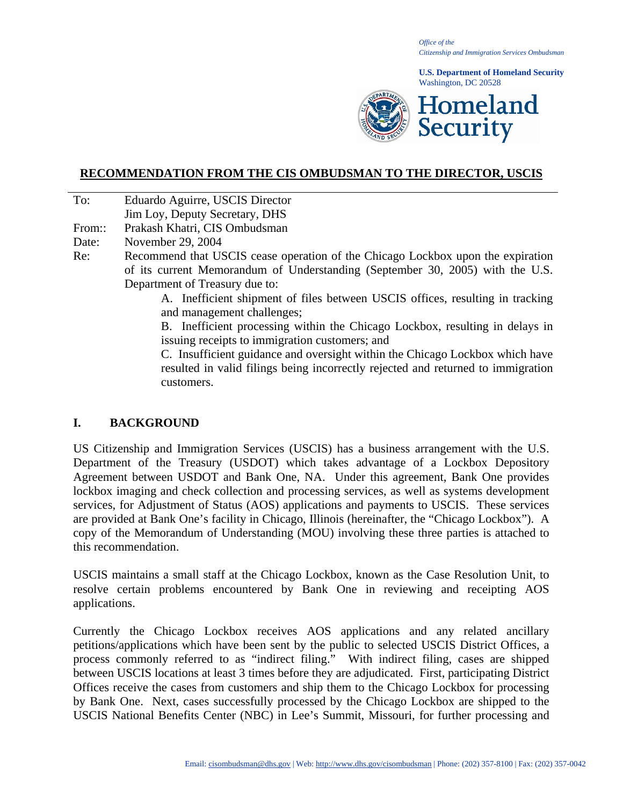*Office of the Citizenship and Immigration Services Ombudsman*

**U.S. Department of Homeland Security** Washington, DC 20528



### **RECOMMENDATION FROM THE CIS OMBUDSMAN TO THE DIRECTOR, USCIS**

To: Eduardo Aguirre, USCIS Director

Jim Loy, Deputy Secretary, DHS

From:: Prakash Khatri, CIS Ombudsman

Date: November 29, 2004

Re: Recommend that USCIS cease operation of the Chicago Lockbox upon the expiration of its current Memorandum of Understanding (September 30, 2005) with the U.S. Department of Treasury due to:

> A. Inefficient shipment of files between USCIS offices, resulting in tracking and management challenges;

> B. Inefficient processing within the Chicago Lockbox, resulting in delays in issuing receipts to immigration customers; and

> C. Insufficient guidance and oversight within the Chicago Lockbox which have resulted in valid filings being incorrectly rejected and returned to immigration customers.

## **I. BACKGROUND**

US Citizenship and Immigration Services (USCIS) has a business arrangement with the U.S. Department of the Treasury (USDOT) which takes advantage of a Lockbox Depository Agreement between USDOT and Bank One, NA. Under this agreement, Bank One provides lockbox imaging and check collection and processing services, as well as systems development services, for Adjustment of Status (AOS) applications and payments to USCIS. These services are provided at Bank One's facility in Chicago, Illinois (hereinafter, the "Chicago Lockbox"). A copy of the Memorandum of Understanding (MOU) involving these three parties is attached to this recommendation.

USCIS maintains a small staff at the Chicago Lockbox, known as the Case Resolution Unit, to resolve certain problems encountered by Bank One in reviewing and receipting AOS applications.

Currently the Chicago Lockbox receives AOS applications and any related ancillary petitions/applications which have been sent by the public to selected USCIS District Offices, a process commonly referred to as "indirect filing." With indirect filing, cases are shipped between USCIS locations at least 3 times before they are adjudicated. First, participating District Offices receive the cases from customers and ship them to the Chicago Lockbox for processing by Bank One. Next, cases successfully processed by the Chicago Lockbox are shipped to the USCIS National Benefits Center (NBC) in Lee's Summit, Missouri, for further processing and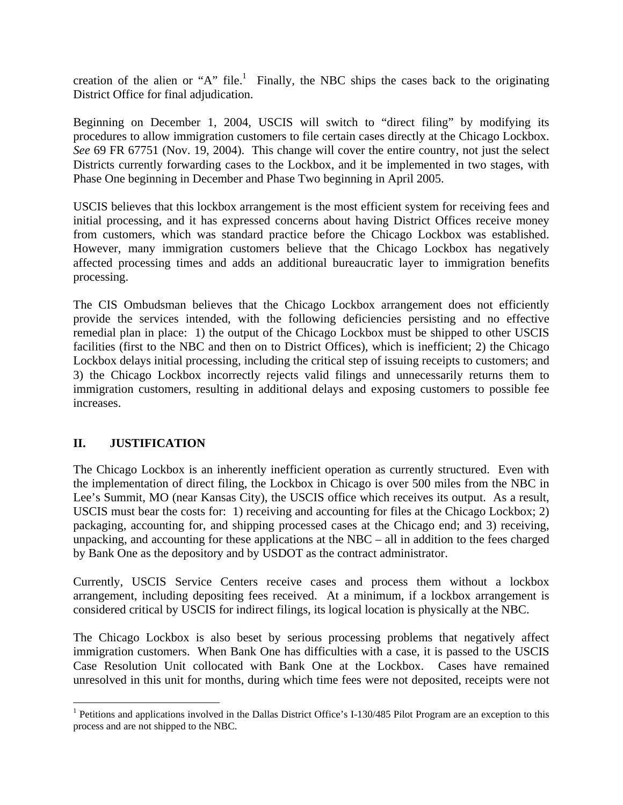creation of the alien or "A" file.<sup>1</sup> Finally, the NBC ships the cases back to the originating District Office for final adjudication.

Beginning on December 1, 2004, USCIS will switch to "direct filing" by modifying its procedures to allow immigration customers to file certain cases directly at the Chicago Lockbox. *See* 69 FR 67751 (Nov. 19, 2004). This change will cover the entire country, not just the select Districts currently forwarding cases to the Lockbox, and it be implemented in two stages, with Phase One beginning in December and Phase Two beginning in April 2005.

USCIS believes that this lockbox arrangement is the most efficient system for receiving fees and initial processing, and it has expressed concerns about having District Offices receive money from customers, which was standard practice before the Chicago Lockbox was established. However, many immigration customers believe that the Chicago Lockbox has negatively affected processing times and adds an additional bureaucratic layer to immigration benefits processing.

The CIS Ombudsman believes that the Chicago Lockbox arrangement does not efficiently provide the services intended, with the following deficiencies persisting and no effective remedial plan in place: 1) the output of the Chicago Lockbox must be shipped to other USCIS facilities (first to the NBC and then on to District Offices), which is inefficient; 2) the Chicago Lockbox delays initial processing, including the critical step of issuing receipts to customers; and 3) the Chicago Lockbox incorrectly rejects valid filings and unnecessarily returns them to immigration customers, resulting in additional delays and exposing customers to possible fee increases.

# **II. JUSTIFICATION**

1

The Chicago Lockbox is an inherently inefficient operation as currently structured. Even with the implementation of direct filing, the Lockbox in Chicago is over 500 miles from the NBC in Lee's Summit, MO (near Kansas City), the USCIS office which receives its output. As a result, USCIS must bear the costs for: 1) receiving and accounting for files at the Chicago Lockbox; 2) packaging, accounting for, and shipping processed cases at the Chicago end; and 3) receiving, unpacking, and accounting for these applications at the NBC – all in addition to the fees charged by Bank One as the depository and by USDOT as the contract administrator.

Currently, USCIS Service Centers receive cases and process them without a lockbox arrangement, including depositing fees received. At a minimum, if a lockbox arrangement is considered critical by USCIS for indirect filings, its logical location is physically at the NBC.

The Chicago Lockbox is also beset by serious processing problems that negatively affect immigration customers. When Bank One has difficulties with a case, it is passed to the USCIS Case Resolution Unit collocated with Bank One at the Lockbox. Cases have remained unresolved in this unit for months, during which time fees were not deposited, receipts were not

<sup>&</sup>lt;sup>1</sup> Petitions and applications involved in the Dallas District Office's I-130/485 Pilot Program are an exception to this process and are not shipped to the NBC.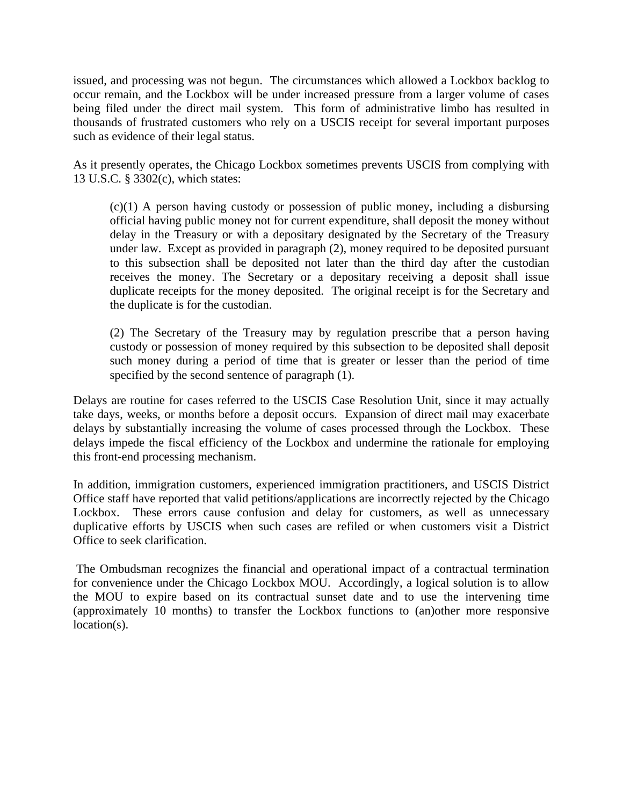issued, and processing was not begun. The circumstances which allowed a Lockbox backlog to occur remain, and the Lockbox will be under increased pressure from a larger volume of cases being filed under the direct mail system. This form of administrative limbo has resulted in thousands of frustrated customers who rely on a USCIS receipt for several important purposes such as evidence of their legal status.

As it presently operates, the Chicago Lockbox sometimes prevents USCIS from complying with 13 U.S.C. § 3302(c), which states:

(c)(1) A person having custody or possession of public money, including a disbursing official having public money not for current expenditure, shall deposit the money without delay in the Treasury or with a depositary designated by the Secretary of the Treasury under law. Except as provided in paragraph (2), money required to be deposited pursuant to this subsection shall be deposited not later than the third day after the custodian receives the money. The Secretary or a depositary receiving a deposit shall issue duplicate receipts for the money deposited. The original receipt is for the Secretary and the duplicate is for the custodian.

(2) The Secretary of the Treasury may by regulation prescribe that a person having custody or possession of money required by this subsection to be deposited shall deposit such money during a period of time that is greater or lesser than the period of time specified by the second sentence of paragraph (1).

Delays are routine for cases referred to the USCIS Case Resolution Unit, since it may actually take days, weeks, or months before a deposit occurs. Expansion of direct mail may exacerbate delays by substantially increasing the volume of cases processed through the Lockbox. These delays impede the fiscal efficiency of the Lockbox and undermine the rationale for employing this front-end processing mechanism.

In addition, immigration customers, experienced immigration practitioners, and USCIS District Office staff have reported that valid petitions/applications are incorrectly rejected by the Chicago Lockbox. These errors cause confusion and delay for customers, as well as unnecessary duplicative efforts by USCIS when such cases are refiled or when customers visit a District Office to seek clarification.

The Ombudsman recognizes the financial and operational impact of a contractual termination for convenience under the Chicago Lockbox MOU. Accordingly, a logical solution is to allow the MOU to expire based on its contractual sunset date and to use the intervening time (approximately 10 months) to transfer the Lockbox functions to (an)other more responsive location(s).